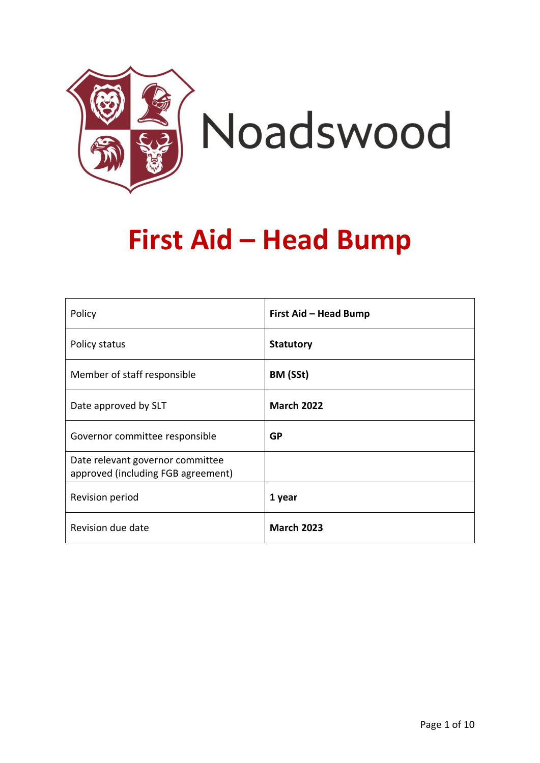

# **First Aid – Head Bump**

| Policy                                                                 | First Aid - Head Bump |
|------------------------------------------------------------------------|-----------------------|
| Policy status                                                          | <b>Statutory</b>      |
| Member of staff responsible                                            | BM (SSt)              |
| Date approved by SLT                                                   | <b>March 2022</b>     |
| Governor committee responsible                                         | <b>GP</b>             |
| Date relevant governor committee<br>approved (including FGB agreement) |                       |
| Revision period                                                        | 1 year                |
| Revision due date                                                      | <b>March 2023</b>     |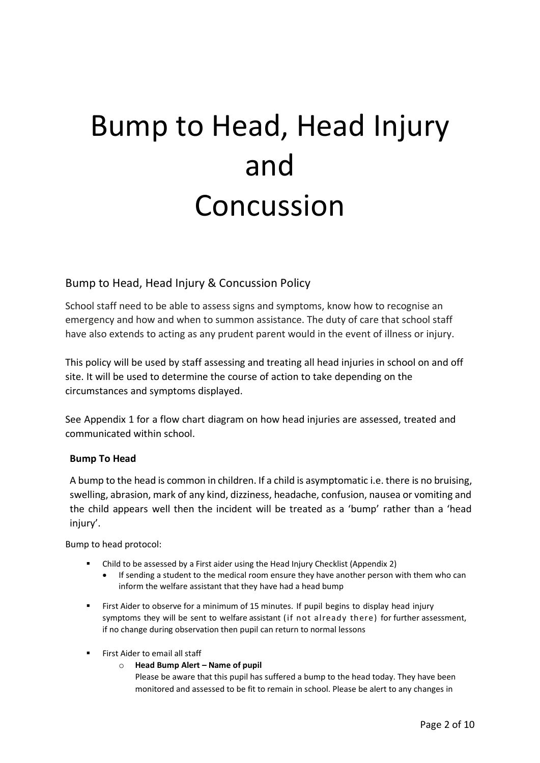# Bump to Head, Head Injury and Concussion

#### Bump to Head, Head Injury & Concussion Policy

School staff need to be able to assess signs and symptoms, know how to recognise an emergency and how and when to summon assistance. The duty of care that school staff have also extends to acting as any prudent parent would in the event of illness or injury.

This policy will be used by staff assessing and treating all head injuries in school on and off site. It will be used to determine the course of action to take depending on the circumstances and symptoms displayed.

See Appendix 1 for a flow chart diagram on how head injuries are assessed, treated and communicated within school.

#### **Bump To Head**

A bump to the head is common in children. If a child is asymptomatic i.e. there is no bruising, swelling, abrasion, mark of any kind, dizziness, headache, confusion, nausea or vomiting and the child appears well then the incident will be treated as a 'bump' rather than a 'head injury'.

Bump to head protocol:

- Child to be assessed by a First aider using the Head Injury Checklist (Appendix 2)
	- If sending a student to the medical room ensure they have another person with them who can inform the welfare assistant that they have had a head bump
- First Aider to observe for a minimum of 15 minutes. If pupil begins to display head injury symptoms they will be sent to welfare assistant (if not already there) for further assessment, if no change during observation then pupil can return to normal lessons
- **EXECT:** First Aider to email all staff
	- o **Head Bump Alert – Name of pupil**

Please be aware that this pupil has suffered a bump to the head today. They have been monitored and assessed to be fit to remain in school. Please be alert to any changes in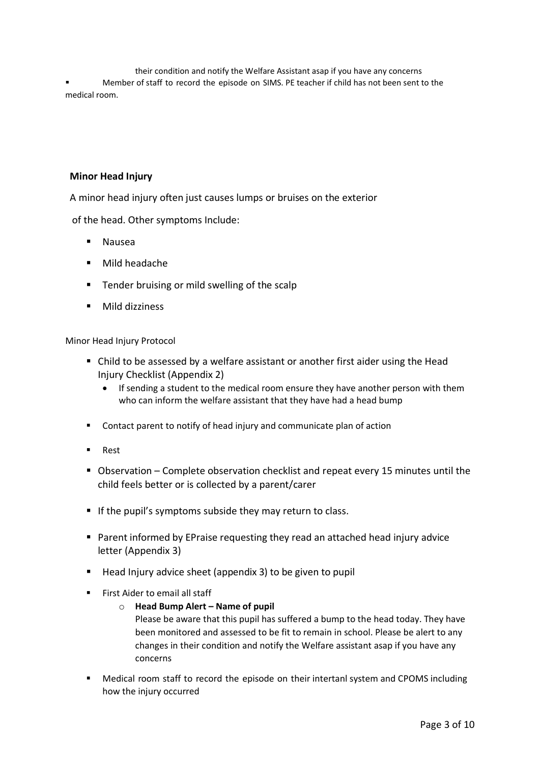their condition and notify the Welfare Assistant asap if you have any concerns Member of staff to record the episode on SIMS. PE teacher if child has not been sent to the medical room.

#### **Minor Head Injury**

A minor head injury often just causes lumps or bruises on the exterior

of the head. Other symptoms Include:

- **Nausea**
- Mild headache
- Tender bruising or mild swelling of the scalp
- Mild dizziness

Minor Head Injury Protocol

- Child to be assessed by a welfare assistant or another first aider using the Head Injury Checklist (Appendix 2)
	- If sending a student to the medical room ensure they have another person with them who can inform the welfare assistant that they have had a head bump
- Contact parent to notify of head injury and communicate plan of action
- **Rest**
- Observation Complete observation checklist and repeat every 15 minutes until the child feels better or is collected by a parent/carer
- If the pupil's symptoms subside they may return to class.
- Parent informed by EPraise requesting they read an attached head injury advice letter (Appendix 3)
- Head Injury advice sheet (appendix 3) to be given to pupil
- $\blacksquare$  First Aider to email all staff
	- o **Head Bump Alert – Name of pupil**

Please be aware that this pupil has suffered a bump to the head today. They have been monitored and assessed to be fit to remain in school. Please be alert to any changes in their condition and notify the Welfare assistant asap if you have any concerns

■ Medical room staff to record the episode on their intertanl system and CPOMS including how the injury occurred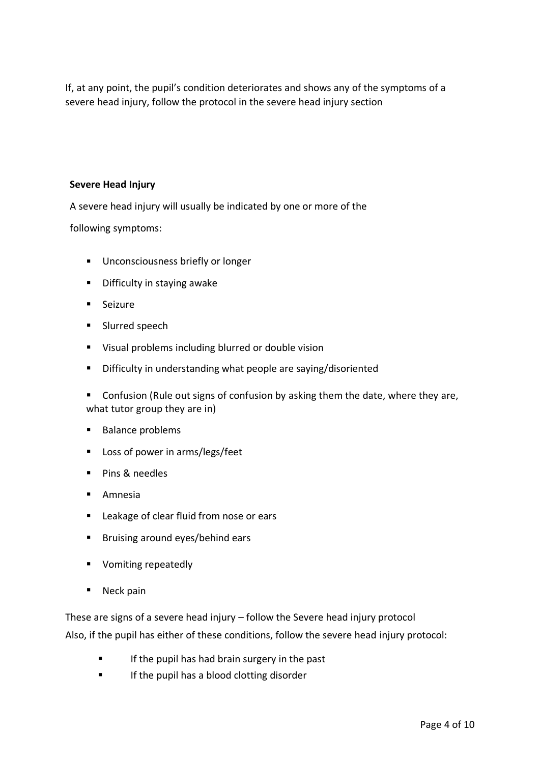If, at any point, the pupil's condition deteriorates and shows any of the symptoms of a severe head injury, follow the protocol in the severe head injury section

#### **Severe Head Injury**

A severe head injury will usually be indicated by one or more of the

following symptoms:

- Unconsciousness briefly or longer
- Difficulty in staying awake
- Seizure
- Slurred speech
- Visual problems including blurred or double vision
- Difficulty in understanding what people are saying/disoriented

■ Confusion (Rule out signs of confusion by asking them the date, where they are, what tutor group they are in)

- **Balance problems**
- Loss of power in arms/legs/feet
- Pins & needles
- Amnesia
- Leakage of clear fluid from nose or ears
- Bruising around eyes/behind ears
- Vomiting repeatedly
- Neck pain

These are signs of a severe head injury – follow the Severe head injury protocol

Also, if the pupil has either of these conditions, follow the severe head injury protocol:

- **■** If the pupil has had brain surgery in the past
- If the pupil has a blood clotting disorder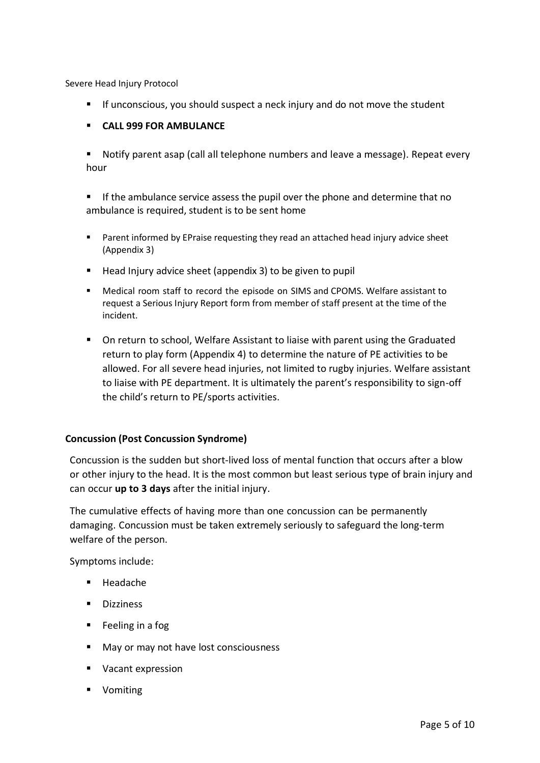Severe Head Injury Protocol

- If unconscious, you should suspect a neck injury and do not move the student
- **CALL 999 FOR AMBULANCE**
- Notify parent asap (call all telephone numbers and leave a message). Repeat every hour

**E** If the ambulance service assess the pupil over the phone and determine that no ambulance is required, student is to be sent home

- Parent informed by EPraise requesting they read an attached head injury advice sheet (Appendix 3)
- Head Injury advice sheet (appendix 3) to be given to pupil
- Medical room staff to record the episode on SIMS and CPOMS. Welfare assistant to request a Serious Injury Report form from member of staff present at the time of the incident.
- On return to school, Welfare Assistant to liaise with parent using the Graduated return to play form (Appendix 4) to determine the nature of PE activities to be allowed. For all severe head injuries, not limited to rugby injuries. Welfare assistant to liaise with PE department. It is ultimately the parent's responsibility to sign-off the child's return to PE/sports activities.

#### **Concussion (Post Concussion Syndrome)**

Concussion is the sudden but short-lived loss of mental function that occurs after a blow or other injury to the head. It is the most common but least serious type of brain injury and can occur **up to 3 days** after the initial injury.

The cumulative effects of having more than one concussion can be permanently damaging. Concussion must be taken extremely seriously to safeguard the long-term welfare of the person.

Symptoms include:

- **Headache**
- Dizziness
- Feeling in a fog
- May or may not have lost consciousness
- Vacant expression
- Vomiting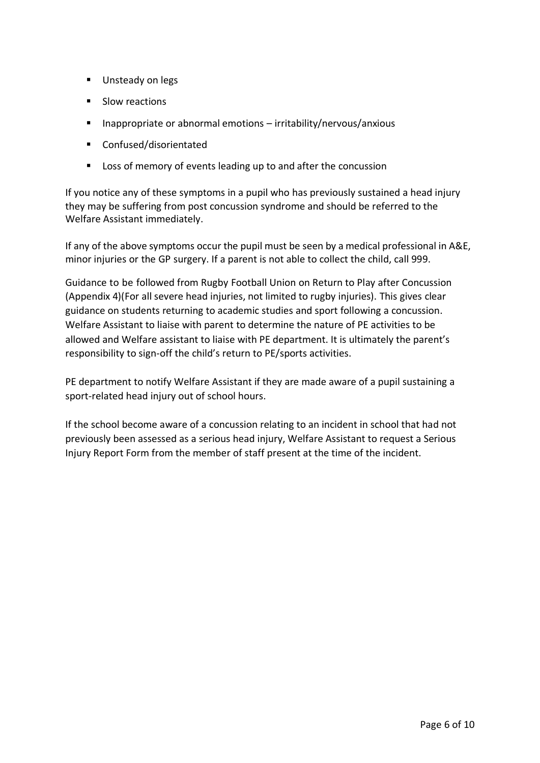- Unsteady on legs
- Slow reactions
- Inappropriate or abnormal emotions irritability/nervous/anxious
- Confused/disorientated
- Loss of memory of events leading up to and after the concussion

If you notice any of these symptoms in a pupil who has previously sustained a head injury they may be suffering from post concussion syndrome and should be referred to the Welfare Assistant immediately.

If any of the above symptoms occur the pupil must be seen by a medical professional in A&E, minor injuries or the GP surgery. If a parent is not able to collect the child, call 999.

Guidance to be followed from Rugby Football Union on Return to Play after Concussion (Appendix 4)(For all severe head injuries, not limited to rugby injuries). This gives clear guidance on students returning to academic studies and sport following a concussion. Welfare Assistant to liaise with parent to determine the nature of PE activities to be allowed and Welfare assistant to liaise with PE department. It is ultimately the parent's responsibility to sign-off the child's return to PE/sports activities.

PE department to notify Welfare Assistant if they are made aware of a pupil sustaining a sport-related head injury out of school hours.

If the school become aware of a concussion relating to an incident in school that had not previously been assessed as a serious head injury, Welfare Assistant to request a Serious Injury Report Form from the member of staff present at the time of the incident.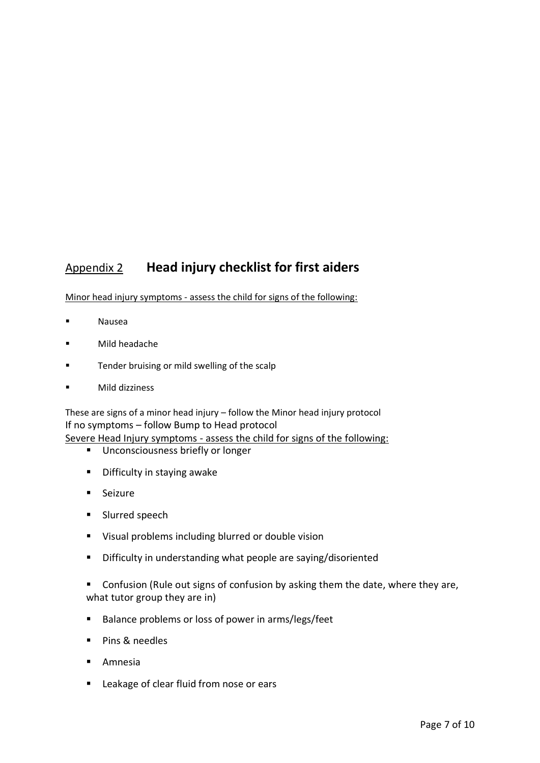# Appendix 2 **Head injury checklist for first aiders**

Minor head injury symptoms - assess the child for signs of the following:

- Nausea
- Mild headache
- Tender bruising or mild swelling of the scalp
- Mild dizziness

These are signs of a minor head injury – follow the Minor head injury protocol If no symptoms – follow Bump to Head protocol Severe Head Injury symptoms - assess the child for signs of the following:

- - Unconsciousness briefly or longer
	- Difficulty in staying awake
	- Seizure
	- Slurred speech
	- Visual problems including blurred or double vision
	- Difficulty in understanding what people are saying/disoriented
	- Confusion (Rule out signs of confusion by asking them the date, where they are, what tutor group they are in)
	- Balance problems or loss of power in arms/legs/feet
	- Pins & needles
	- **Amnesia**
	- Leakage of clear fluid from nose or ears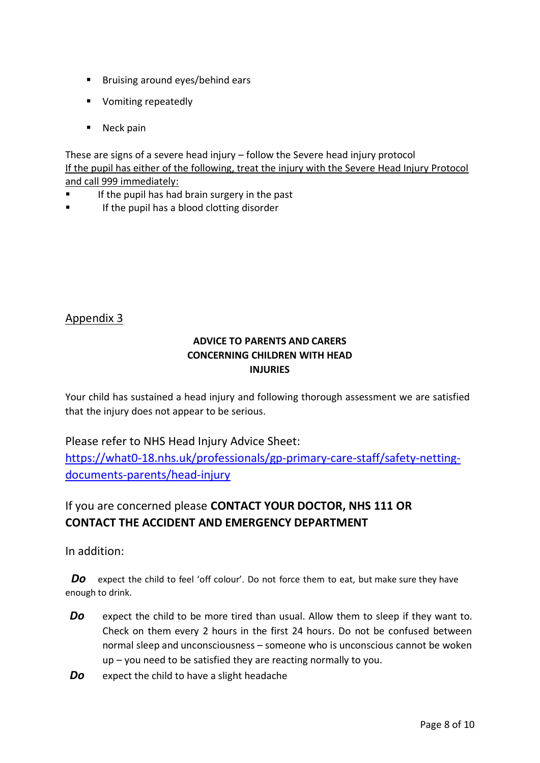- Bruising around eyes/behind ears
- Vomiting repeatedly
- Neck pain

These are signs of a severe head injury – follow the Severe head injury protocol If the pupil has either of the following, treat the injury with the Severe Head Injury Protocol and call 999 immediately:

- If the pupil has had brain surgery in the past
- If the pupil has a blood clotting disorder

#### Appendix 3

#### **ADVICE TO PARENTS AND CARERS CONCERNING CHILDREN WITH HEAD INJURIES**

Your child has sustained a head injury and following thorough assessment we are satisfied that the injury does not appear to be serious.

#### Please refer to NHS Head Injury Advice Sheet:

[https://what0-18.nhs.uk/professionals/gp-primary-care-staff/safety-netting](https://what0-18.nhs.uk/professionals/gp-primary-care-staff/safety-netting-documents-parents/head-injury)[documents-parents/head-injury](https://what0-18.nhs.uk/professionals/gp-primary-care-staff/safety-netting-documents-parents/head-injury)

# If you are concerned please **CONTACT YOUR DOCTOR, NHS 111 OR CONTACT THE ACCIDENT AND EMERGENCY DEPARTMENT**

In addition:

**Do** expect the child to feel 'off colour'. Do not force them to eat, but make sure they have enough to drink.

- **Do** expect the child to be more tired than usual. Allow them to sleep if they want to. Check on them every 2 hours in the first 24 hours. Do not be confused between normal sleep and unconsciousness – someone who is unconscious cannot be woken up – you need to be satisfied they are reacting normally to you.
- **Do** expect the child to have a slight headache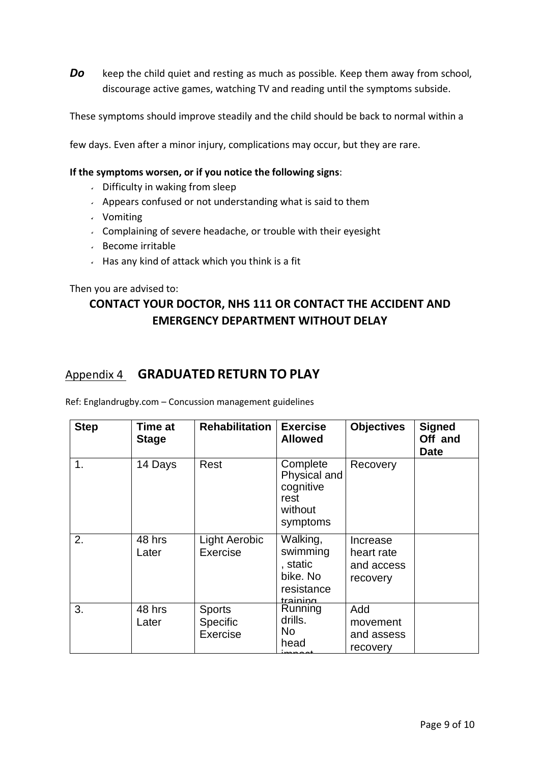**Do** keep the child quiet and resting as much as possible. Keep them away from school, discourage active games, watching TV and reading until the symptoms subside.

These symptoms should improve steadily and the child should be back to normal within a

few days. Even after a minor injury, complications may occur, but they are rare.

#### **If the symptoms worsen, or if you notice the following signs**:

- $\cdot$  Difficulty in waking from sleep
- $\sim$  Appears confused or not understanding what is said to them
- Vomiting
- $\sim$  Complaining of severe headache, or trouble with their eyesight
- Become irritable
- $\sim$  Has any kind of attack which you think is a fit

Then you are advised to:

## **CONTACT YOUR DOCTOR, NHS 111 OR CONTACT THE ACCIDENT AND EMERGENCY DEPARTMENT WITHOUT DELAY**

### Appendix 4 **GRADUATED RETURN TO PLAY**

Ref: Englandrugby.com – Concussion management guidelines

| <b>Step</b> | Time at<br><b>Stage</b> | <b>Rehabilitation</b>                        | <b>Exercise</b><br><b>Allowed</b>                                      | <b>Objectives</b>                                | <b>Signed</b><br>Off and<br><b>Date</b> |
|-------------|-------------------------|----------------------------------------------|------------------------------------------------------------------------|--------------------------------------------------|-----------------------------------------|
| 1.          | 14 Days                 | Rest                                         | Complete<br>Physical and<br>cognitive<br>rest<br>without<br>symptoms   | Recovery                                         |                                         |
| 2.          | 48 hrs<br>Later         | <b>Light Aerobic</b><br>Exercise             | Walking,<br>swimming<br>, static<br>bike. No<br>resistance<br>training | Increase<br>heart rate<br>and access<br>recovery |                                         |
| 3.          | 48 hrs<br>Later         | <b>Sports</b><br><b>Specific</b><br>Exercise | Running<br>drills.<br>No.<br>head                                      | Add<br>movement<br>and assess<br>recovery        |                                         |